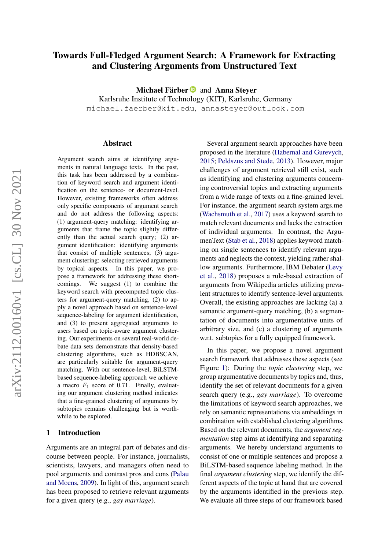# <span id="page-0-0"></span>Towards Full-Fledged Argument Search: A Framework for Extracting and Clustering Arguments from Unstructured Text

Michael Färber and Anna Steyer

Karlsruhe Institute of Technology (KIT), Karlsruhe, Germany michael.faerber@kit.edu, annasteyer@outlook.com

#### Abstract

Argument search aims at identifying arguments in natural language texts. In the past, this task has been addressed by a combination of keyword search and argument identification on the sentence- or document-level. However, existing frameworks often address only specific components of argument search and do not address the following aspects: (1) argument-query matching: identifying arguments that frame the topic slightly differently than the actual search query; (2) argument identification: identifying arguments that consist of multiple sentences; (3) argument clustering: selecting retrieved arguments by topical aspects. In this paper, we propose a framework for addressing these shortcomings. We suggest (1) to combine the keyword search with precomputed topic clusters for argument-query matching, (2) to apply a novel approach based on sentence-level sequence-labeling for argument identification, and (3) to present aggregated arguments to users based on topic-aware argument clustering. Our experiments on several real-world debate data sets demonstrate that density-based clustering algorithms, such as HDBSCAN, are particularly suitable for argument-query matching. With our sentence-level, BiLSTMbased sequence-labeling approach we achieve a macro  $F_1$  score of 0.71. Finally, evaluating our argument clustering method indicates that a fine-grained clustering of arguments by subtopics remains challenging but is worthwhile to be explored.

### 1 Introduction

Arguments are an integral part of debates and discourse between people. For instance, journalists, scientists, lawyers, and managers often need to pool arguments and contrast pros and cons [\(Palau](#page-8-0) [and Moens,](#page-8-0) [2009\)](#page-8-0). In light of this, argument search has been proposed to retrieve relevant arguments for a given query (e.g., *gay marriage*).

Several argument search approaches have been proposed in the literature [\(Habernal and Gurevych,](#page-8-1) [2015;](#page-8-1) [Peldszus and Stede,](#page-8-2) [2013\)](#page-8-2). However, major challenges of argument retrieval still exist, such as identifying and clustering arguments concerning controversial topics and extracting arguments from a wide range of texts on a fine-grained level. For instance, the argument search system args.me [\(Wachsmuth et al.,](#page-9-0) [2017\)](#page-9-0) uses a keyword search to match relevant documents and lacks the extraction of individual arguments. In contrast, the ArgumenText [\(Stab et al.,](#page-9-1) [2018\)](#page-9-1) applies keyword matching on single sentences to identify relevant arguments and neglects the context, yielding rather shallow arguments. Furthermore, IBM Debater [\(Levy](#page-8-3) [et al.,](#page-8-3) [2018\)](#page-8-3) proposes a rule-based extraction of arguments from Wikipedia articles utilizing prevalent structures to identify sentence-level arguments. Overall, the existing approaches are lacking (a) a semantic argument-query matching, (b) a segmentation of documents into argumentative units of arbitrary size, and (c) a clustering of arguments w.r.t. subtopics for a fully equipped framework.

In this paper, we propose a novel argument search framework that addresses these aspects (see Figure [1\)](#page-2-0): During the *topic clustering* step, we group argumentative documents by topics and, thus, identify the set of relevant documents for a given search query (e.g., *gay marriage*). To overcome the limitations of keyword search approaches, we rely on semantic representations via embeddings in combination with established clustering algorithms. Based on the relevant documents, the *argument segmentation* step aims at identifying and separating arguments. We hereby understand arguments to consist of one or multiple sentences and propose a BiLSTM-based sequence labeling method. In the final *argument clustering* step, we identify the different aspects of the topic at hand that are covered by the arguments identified in the previous step. We evaluate all three steps of our framework based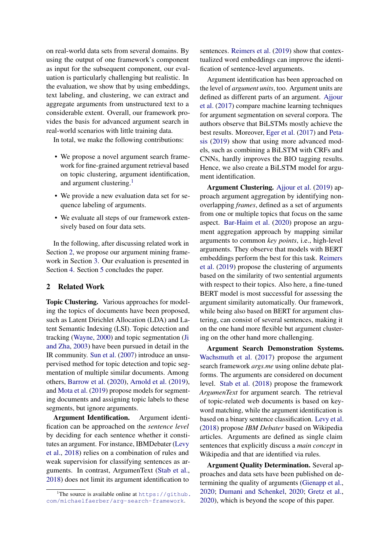on real-world data sets from several domains. By using the output of one framework's component as input for the subsequent component, our evaluation is particularly challenging but realistic. In the evaluation, we show that by using embeddings, text labeling, and clustering, we can extract and aggregate arguments from unstructured text to a considerable extent. Overall, our framework provides the basis for advanced argument search in real-world scenarios with little training data.

In total, we make the following contributions:

- We propose a novel argument search framework for fine-grained argument retrieval based on topic clustering, argument identification, and argument clustering.<sup>[1](#page-0-0)</sup>
- We provide a new evaluation data set for sequence labeling of arguments.
- We evaluate all steps of our framework extensively based on four data sets.

In the following, after discussing related work in Section [2,](#page-1-0) we propose our argument mining framework in Section [3.](#page-2-1) Our evaluation is presented in Section [4.](#page-3-0) Section [5](#page-7-0) concludes the paper.

### <span id="page-1-0"></span>2 Related Work

Topic Clustering. Various approaches for modeling the topics of documents have been proposed, such as Latent Dirichlet Allocation (LDA) and Latent Semantic Indexing (LSI). Topic detection and tracking [\(Wayne,](#page-9-2) [2000\)](#page-9-2) and topic segmentation [\(Ji](#page-8-4) [and Zha,](#page-8-4) [2003\)](#page-8-4) have been pursued in detail in the IR community. [Sun et al.](#page-9-3) [\(2007\)](#page-9-3) introduce an unsupervised method for topic detection and topic segmentation of multiple similar documents. Among others, [Barrow et al.](#page-8-5) [\(2020\)](#page-8-5), [Arnold et al.](#page-8-6) [\(2019\)](#page-8-6), and [Mota et al.](#page-8-7) [\(2019\)](#page-8-7) propose models for segmenting documents and assigning topic labels to these segments, but ignore arguments.

Argument Identification. Argument identification can be approached on the *sentence level* by deciding for each sentence whether it constitutes an argument. For instance, IBMDebater [\(Levy](#page-8-3) [et al.,](#page-8-3) [2018\)](#page-8-3) relies on a combination of rules and weak supervision for classifying sentences as arguments. In contrast, ArgumenText [\(Stab et al.,](#page-9-1) [2018\)](#page-9-1) does not limit its argument identification to

sentences. [Reimers et al.](#page-9-4) [\(2019\)](#page-9-4) show that contextualized word embeddings can improve the identification of sentence-level arguments.

Argument identification has been approached on the level of *argument units*, too. Argument units are defined as different parts of an argument. [Ajjour](#page-8-8) [et al.](#page-8-8) [\(2017\)](#page-8-8) compare machine learning techniques for argument segmentation on several corpora. The authors observe that BiLSTMs mostly achieve the best results. Moreover, [Eger et al.](#page-8-9) [\(2017\)](#page-8-9) and [Peta](#page-8-10)[sis](#page-8-10) [\(2019\)](#page-8-10) show that using more advanced models, such as combining a BiLSTM with CRFs and CNNs, hardly improves the BIO tagging results. Hence, we also create a BiLSTM model for argument identification.

Argument Clustering. [Ajjour et al.](#page-8-11) [\(2019\)](#page-8-11) approach argument aggregation by identifying nonoverlapping *frames*, defined as a set of arguments from one or multiple topics that focus on the same aspect. [Bar-Haim et al.](#page-8-12) [\(2020\)](#page-8-12) propose an argument aggregation approach by mapping similar arguments to common *key points*, i.e., high-level arguments. They observe that models with BERT embeddings perform the best for this task. [Reimers](#page-9-4) [et al.](#page-9-4) [\(2019\)](#page-9-4) propose the clustering of arguments based on the similarity of two sentential arguments with respect to their topics. Also here, a fine-tuned BERT model is most successful for assessing the argument similarity automatically. Our framework, while being also based on BERT for argument clustering, can consist of several sentences, making it on the one hand more flexible but argument clustering on the other hand more challenging.

Argument Search Demonstration Systems. [Wachsmuth et al.](#page-9-0) [\(2017\)](#page-9-0) propose the argument search framework *args.me* using online debate platforms. The arguments are considered on document level. [Stab et al.](#page-9-1) [\(2018\)](#page-9-1) propose the framework *ArgumenText* for argument search. The retrieval of topic-related web documents is based on keyword matching, while the argument identification is based on a binary sentence classification. [Levy et al.](#page-8-3) [\(2018\)](#page-8-3) propose *IBM Debater* based on Wikipedia articles. Arguments are defined as single claim sentences that explicitly discuss a *main concept* in Wikipedia and that are identified via rules.

Argument Quality Determination. Several approaches and data sets have been published on determining the quality of arguments [\(Gienapp et al.,](#page-8-13) [2020;](#page-8-13) [Dumani and Schenkel,](#page-8-14) [2020;](#page-8-14) [Gretz et al.,](#page-8-15) [2020\)](#page-8-15), which is beyond the scope of this paper.

<sup>&</sup>lt;sup>1</sup>The source is available online at  $https://github.$ [com/michaelfaerber/arg-search-framework](https://github.com/michaelfaerber/arg-search-framework).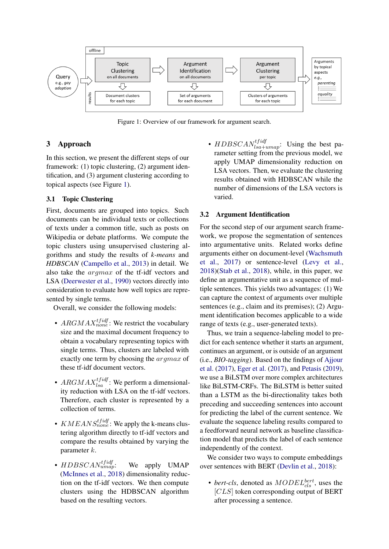<span id="page-2-0"></span>

Figure 1: Overview of our framework for argument search.

## <span id="page-2-1"></span>3 Approach

In this section, we present the different steps of our framework: (1) topic clustering, (2) argument identification, and (3) argument clustering according to topical aspects (see Figure [1\)](#page-2-0).

### 3.1 Topic Clustering

First, documents are grouped into topics. Such documents can be individual texts or collections of texts under a common title, such as posts on Wikipedia or debate platforms. We compute the topic clusters using unsupervised clustering algorithms and study the results of *k-means* and *HDBSCAN* [\(Campello et al.,](#page-8-16) [2013\)](#page-8-16) in detail. We also take the argmax of the tf-idf vectors and LSA [\(Deerwester et al.,](#page-8-17) [1990\)](#page-8-17) vectors directly into consideration to evaluate how well topics are represented by single terms.

Overall, we consider the following models:

- $ARGMAX_{none}^{tfidf}$ : We restrict the vocabulary size and the maximal document frequency to obtain a vocabulary representing topics with single terms. Thus, clusters are labeled with exactly one term by choosing the argmax of these tf-idf document vectors.
- $ARGMAX_{lsa}^{tfidf}$ : We perform a dimensionality reduction with LSA on the tf-idf vectors. Therefore, each cluster is represented by a collection of terms.
- $KMEANS^{tfidf}}_{none}$ : We apply the k-means clustering algorithm directly to tf-idf vectors and compare the results obtained by varying the parameter k.
- $HDBSCAN$ <sub>umap</sub>: We apply UMAP [\(McInnes et al.,](#page-8-18) [2018\)](#page-8-18) dimensionality reduction on the tf-idf vectors. We then compute clusters using the HDBSCAN algorithm based on the resulting vectors.

•  $HDBSCAN_{lsa+umap}^{tfidf}$ : Using the best parameter setting from the previous model, we apply UMAP dimensionality reduction on LSA vectors. Then, we evaluate the clustering results obtained with HDBSCAN while the number of dimensions of the LSA vectors is varied.

### 3.2 Argument Identification

For the second step of our argument search framework, we propose the segmentation of sentences into argumentative units. Related works define arguments either on document-level [\(Wachsmuth](#page-9-0) [et al.,](#page-9-0) [2017\)](#page-9-0) or sentence-level [\(Levy et al.,](#page-8-3) [2018\)](#page-8-3)[\(Stab et al.,](#page-9-1) [2018\)](#page-9-1), while, in this paper, we define an argumentative unit as a sequence of multiple sentences. This yields two advantages: (1) We can capture the context of arguments over multiple sentences (e.g., claim and its premises); (2) Argument identification becomes applicable to a wide range of texts (e.g., user-generated texts).

Thus, we train a sequence-labeling model to predict for each sentence whether it starts an argument, continues an argument, or is outside of an argument (i.e., *BIO-tagging*). Based on the findings of [Ajjour](#page-8-8) [et al.](#page-8-8) [\(2017\)](#page-8-8), [Eger et al.](#page-8-9) [\(2017\)](#page-8-9), and [Petasis](#page-8-10) [\(2019\)](#page-8-10), we use a BiLSTM over more complex architectures like BiLSTM-CRFs. The BiLSTM is better suited than a LSTM as the bi-directionality takes both preceding and succeeding sentences into account for predicting the label of the current sentence. We evaluate the sequence labeling results compared to a feedforward neural network as baseline classification model that predicts the label of each sentence independently of the context.

We consider two ways to compute embeddings over sentences with BERT [\(Devlin et al.,](#page-8-19) [2018\)](#page-8-19):

• *bert-cls*, denoted as  $MODEL_{cls}^{bert}$ , uses the [CLS] token corresponding output of BERT after processing a sentence.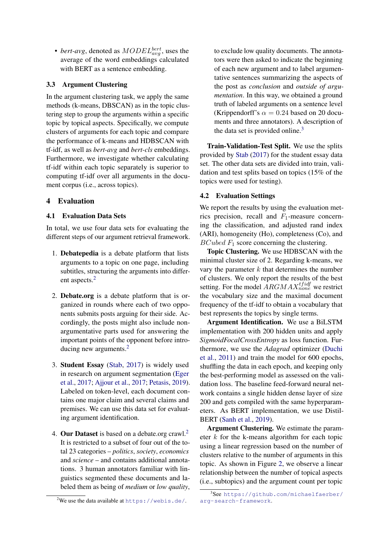• *bert-avg*, denoted as  $MODEL<sub>avg</sub><sub>avg</sub>$ , uses the average of the word embeddings calculated with BERT as a sentence embedding.

### 3.3 Argument Clustering

In the argument clustering task, we apply the same methods (k-means, DBSCAN) as in the topic clustering step to group the arguments within a specific topic by topical aspects. Specifically, we compute clusters of arguments for each topic and compare the performance of k-means and HDBSCAN with tf-idf, as well as *bert-avg* and *bert-cls* embeddings. Furthermore, we investigate whether calculating tf-idf within each topic separately is superior to computing tf-idf over all arguments in the document corpus (i.e., across topics).

# <span id="page-3-0"></span>4 Evaluation

### 4.1 Evaluation Data Sets

In total, we use four data sets for evaluating the different steps of our argument retrieval framework.

- <span id="page-3-1"></span>1. Debatepedia is a debate platform that lists arguments to a topic on one page, including subtitles, structuring the arguments into differ-ent aspects.<sup>[2](#page-0-0)</sup>
- 2. Debate.org is a debate platform that is organized in rounds where each of two opponents submits posts arguing for their side. Accordingly, the posts might also include nonargumentative parts used for answering the important points of the opponent before introducing new arguments.[2](#page-0-0)
- 3. Student Essay [\(Stab,](#page-9-5) [2017\)](#page-9-5) is widely used in research on argument segmentation [\(Eger](#page-8-9) [et al.,](#page-8-9) [2017;](#page-8-9) [Ajjour et al.,](#page-8-8) [2017;](#page-8-8) [Petasis,](#page-8-10) [2019\)](#page-8-10). Labeled on token-level, each document contains one major claim and several claims and premises. We can use this data set for evaluating argument identification.
- 4. Our Dataset is based on a debate.org crawl.<sup>[2](#page-0-0)</sup> It is restricted to a subset of four out of the total 23 categories – *politics*, *society*, *economics* and *science* – and contains additional annotations. 3 human annotators familiar with linguistics segmented these documents and labeled them as being of *medium* or *low quality*,

to exclude low quality documents. The annotators were then asked to indicate the beginning of each new argument and to label argumentative sentences summarizing the aspects of the post as *conclusion* and *outside of argumentation*. In this way, we obtained a ground truth of labeled arguments on a sentence level (Krippendorff's  $\alpha = 0.24$  based on 20 documents and three annotators). A description of the data set is provided online.<sup>[3](#page-0-0)</sup>

Train-Validation-Test Split. We use the splits provided by [Stab](#page-9-5) [\(2017\)](#page-9-5) for the student essay data set. The other data sets are divided into train, validation and test splits based on topics (15% of the topics were used for testing).

### 4.2 Evaluation Settings

We report the results by using the evaluation metrics precision, recall and  $F_1$ -measure concerning the classification, and adjusted rand index (ARI), homogeneity (Ho), completeness (Co), and  $BCubed F<sub>1</sub>$  score concerning the clustering.

Topic Clustering. We use HDBSCAN with the minimal cluster size of 2. Regarding k-means, we vary the parameter  $k$  that determines the number of clusters. We only report the results of the best setting. For the model  $\hat{A} R G M A X_{none}^{tfidf}$  we restrict the vocabulary size and the maximal document frequency of the tf-idf to obtain a vocabulary that best represents the topics by single terms.

Argument Identification. We use a BiLSTM implementation with 200 hidden units and apply *SigmoidFocalCrossEntropy* as loss function. Furthermore, we use the *Adagrad* optimizer [\(Duchi](#page-8-20) [et al.,](#page-8-20) [2011\)](#page-8-20) and train the model for 600 epochs, shuffling the data in each epoch, and keeping only the best-performing model as assessed on the validation loss. The baseline feed-forward neural network contains a single hidden dense layer of size 200 and gets compiled with the same hyperparameters. As BERT implementation, we use Distil-BERT [\(Sanh et al.,](#page-9-6) [2019\)](#page-9-6).

Argument Clustering. We estimate the parameter  $k$  for the k-means algorithm for each topic using a linear regression based on the number of clusters relative to the number of arguments in this topic. As shown in Figure [2,](#page-4-0) we observe a linear relationship between the number of topical aspects (i.e., subtopics) and the argument count per topic

<sup>&</sup>lt;sup>2</sup>We use the data available at  $https://webis.de/$ .

<sup>3</sup> See [https://github.com/michaelfaerber/](https://github.com/michaelfaerber/arg-search-framework) [arg-search-framework](https://github.com/michaelfaerber/arg-search-framework).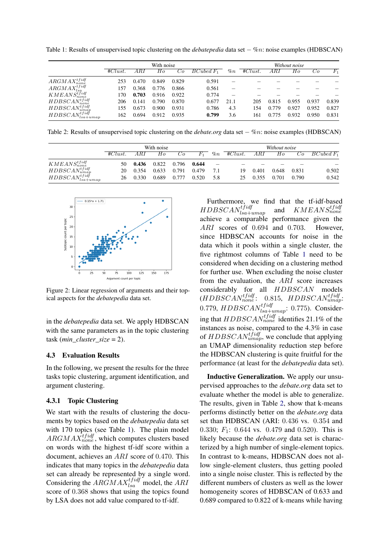<span id="page-4-1"></span>Table 1: Results of unsupervised topic clustering on the *debatepedia* data set − %n: noise examples (HDBSCAN)

|                                         | With noise |       |       |       |             |       | Without noise |       |       |       |                  |
|-----------------------------------------|------------|-------|-------|-------|-------------|-------|---------------|-------|-------|-------|------------------|
|                                         | #Clust.    | ARI   | Ho    | U0.   | $BCubedF_1$ | $\%n$ | #Clust.       | ARI   | Ho    | Uο    | $\overline{F_1}$ |
| $ARGMAX^{tfidf}_{none}$                 | 253        | 0.470 | 0.849 | 0.829 | 0.591       |       |               |       |       |       |                  |
| $ARGMAX^{tfidf}_{lso}$                  | 157        | 0.368 | 0.776 | 0.866 | 0.561       |       |               |       |       |       |                  |
| KMEANS <sub>none</sub> <sup>tfidf</sup> | 170        | 0.703 | 0.916 | 0.922 | 0.774       |       |               |       |       |       |                  |
| $HDBSCAN_{none}^{tfidf}$                | 206        | 0.141 | 0.790 | 0.870 | 0.677       | 21.1  | 205           | 0.815 | 0.955 | 0.937 | 0.839            |
| $HDBSCAN^{tfidf}_{umap}$                | 155        | 0.673 | 0.900 | 0.931 | 0.786       | 4.3   | 154           | 0.779 | 0.927 | 0.952 | 0.827            |
| $HDBSCAN^{tfidf}_{loc}$<br>$lsa+umap$   | 162        | 0.694 | 0.912 | 0.935 | 0.799       | 3.6   | 161           | 0.775 | 0.932 | 0.950 | 0.831            |

<span id="page-4-2"></span>Table 2: Results of unsupervised topic clustering on the *debate.org* data set − %n: noise examples (HDBSCAN)

|                                        | With noise |       |       |       |         |       | Without noise |       |       |       |              |
|----------------------------------------|------------|-------|-------|-------|---------|-------|---------------|-------|-------|-------|--------------|
|                                        | #Clust.    | A R I | Ho    | Co.   | $F_{1}$ | $\%n$ | #Clust.       | ARI   | Ho    | Uо    | $BCubed F_1$ |
| $KMEANS^{tfidf}_{none}$                | 50         | 0.436 | 0.822 | 0.796 | 0.644   | -     |               |       |       |       |              |
| $HDBSCAN^{tfidf}_{umap}$               | 20         | 0.354 | 0.633 | 0.791 | 0.479   | 7.1   | 19            | 0.401 | 0.648 | 0.831 | 0.502        |
| $HDBSCAN^{tfidf}_{test}$<br>$lsa+umap$ | 26         | 0.330 | 0.689 | 0.777 | 0.520   | 5.8   |               | 0.355 | 0.701 | 0.790 | 0.542        |

<span id="page-4-0"></span>

Figure 2: Linear regression of arguments and their topical aspects for the *debatepedia* data set.

in the *debatepedia* data set. We apply HDBSCAN with the same parameters as in the topic clustering task (*min\_cluster\_size* = 2).

#### 4.3 Evaluation Results

In the following, we present the results for the three tasks topic clustering, argument identification, and argument clustering.

### 4.3.1 Topic Clustering

We start with the results of clustering the documents by topics based on the *debatepedia* data set with 170 topics (see Table [1\)](#page-4-1). The plain model  $ARGMAX_{none}^{tfidf}$ , which computes clusters based on words with the highest tf-idf score within a document, achieves an ARI score of 0.470. This indicates that many topics in the *debatepedia* data set can already be represented by a single word. Considering the  $ARGMAX^{tfidf}}_{lsa}$  model, the ARI score of 0.368 shows that using the topics found by LSA does not add value compared to tf-idf.

Furthermore, we find that the tf-idf-based  $HDBSCAN^{tfidf}_{lsa+umap}$ and  $KMEANS^{tfidf}_{none}$ achieve a comparable performance given the ARI scores of 0.694 and 0.703. However, since HDBSCAN accounts for noise in the data which it pools within a single cluster, the five rightmost columns of Table [1](#page-4-1) need to be considered when deciding on a clustering method for further use. When excluding the noise cluster from the evaluation, the ARI score increases considerably for all HDBSCAN models  $(HDBSCAN_{none}^{tfidf}: 0.815, HDBSCAN_{umap}^{tfidf}:$ 0.779,  $HDBSCAN_{lsa+umap}^{tfidf}$ : 0.775). Considering that  $HDBSCAN_{none}^{tfidf}$  identifies 21.1% of the instances as noise, compared to the 4.3% in case of  $HDBSCAN^{tfidf}_{umap}$ , we conclude that applying an UMAP dimensionality reduction step before the HDBSCAN clustering is quite fruitful for the performance (at least for the *debatepedia* data set).

Inductive Generalization. We apply our unsupervised approaches to the *debate.org* data set to evaluate whether the model is able to generalize. The results, given in Table [2,](#page-4-2) show that k-means performs distinctly better on the *debate.org* data set than HDBSCAN (ARI: 0.436 vs. 0.354 and 0.330;  $F_1$ : 0.644 vs. 0.479 and 0.520). This is likely because the *debate.org* data set is characterized by a high number of single-element topics. In contrast to k-means, HDBSCAN does not allow single-element clusters, thus getting pooled into a single noise cluster. This is reflected by the different numbers of clusters as well as the lower homogeneity scores of HDBSCAN of 0.633 and 0.689 compared to 0.822 of k-means while having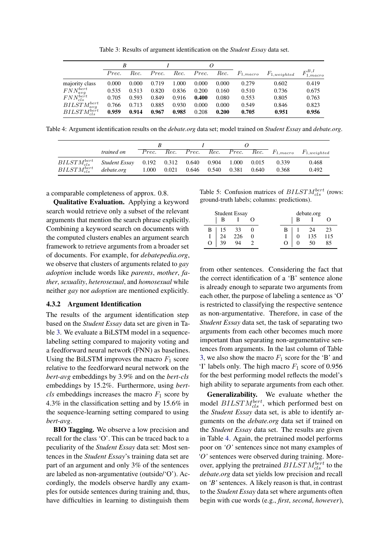Table 3: Results of argument identification on the *Student Essay* data set.

<span id="page-5-0"></span>

|                       | B     |       |       |       | 0     |       |               |                  |                     |
|-----------------------|-------|-------|-------|-------|-------|-------|---------------|------------------|---------------------|
|                       | Prec. | Rec.  | Prec. | Rec.  | Prec. | Rec.  | $F_{1,macro}$ | $F_{1,weighted}$ | $F_{1,macro}^{B,I}$ |
| majority class        | 0.000 | 0.000 | 0.719 | 1.000 | 0.000 | 0.000 | 0.279         | 0.602            | 0.419               |
| $FNN_{avg}^{bert}$    | 0.535 | 0.513 | 0.820 | 0.836 | 0.200 | 0.160 | 0.510         | 0.736            | 0.675               |
| $FNN_{cls}^{bert}$    | 0.705 | 0.593 | 0.849 | 0.916 | 0.400 | 0.080 | 0.553         | 0.805            | 0.763               |
| $BILSTM_{avg}^{bert}$ | 0.766 | 0.713 | 0.885 | 0.930 | 0.000 | 0.000 | 0.549         | 0.846            | 0.823               |
| $BILSTM_{cls}^{bert}$ | 0.959 | 0.914 | 0.967 | 0.985 | 0.208 | 0.200 | 0.705         | 0.951            | 0.956               |

<span id="page-5-1"></span>Table 4: Argument identification results on the *debate.org* data set; model trained on *Student Essay* and *debate.org*.

|                                                                         | <i>trained on</i> |  |  |                                         |  |       |       | $Prec.$ Rec. Prec. Rec. Prec. Rec. Rec. $F_{1, macro}$ $F_{1,weighted}$ |
|-------------------------------------------------------------------------|-------------------|--|--|-----------------------------------------|--|-------|-------|-------------------------------------------------------------------------|
| $BILSTM_{cls}^{bert}$ Student Essay 0.192 0.312 0.640 0.904 1.000 0.015 |                   |  |  |                                         |  |       | 0.339 | 0.468                                                                   |
| $BILSTM_{cls}^{bert}$                                                   | debate.org        |  |  | $1.000$ $0.021$ $0.646$ $0.540$ $0.381$ |  | 0.640 | 0.368 | 0.492                                                                   |

a comparable completeness of approx. 0.8.

Qualitative Evaluation. Applying a keyword search would retrieve only a subset of the relevant arguments that mention the search phrase explicitly. Combining a keyword search on documents with the computed clusters enables an argument search framework to retrieve arguments from a broader set of documents. For example, for *debatepedia.org*, we observe that clusters of arguments related to *gay adoption* include words like *parents*, *mother*, *father*, *sexuality*, *heterosexual*, and *homosexual* while neither *gay* nor *adoption* are mentioned explicitly.

#### 4.3.2 Argument Identification

The results of the argument identification step based on the *Student Essay* data set are given in Table [3.](#page-5-0) We evaluate a BiLSTM model in a sequencelabeling setting compared to majority voting and a feedforward neural network (FNN) as baselines. Using the BiLSTM improves the macro  $F_1$  score relative to the feedforward neural network on the *bert-avg* embeddings by 3.9% and on the *bert-cls* embeddings by 15.2%. Furthermore, using *bertcls* embeddings increases the macro  $F_1$  score by 4.3% in the classification setting and by 15.6% in the sequence-learning setting compared to using *bert-avg*.

BIO Tagging. We observe a low precision and recall for the class 'O'. This can be traced back to a peculiarity of the *Student Essay* data set: Most sentences in the *Student Essay*'s training data set are part of an argument and only 3% of the sentences are labeled as non-argumentative (outside/'O'). Accordingly, the models observe hardly any examples for outside sentences during training and, thus, have difficulties in learning to distinguish them

<span id="page-5-2"></span>Table 5: Confusion matrices of  $BILSTM_{cls}^{bert}$  (rows: ground-truth labels; columns: predictions).

| <b>Student Essay</b> |    |                  | debate.org |                  |  |     |           |
|----------------------|----|------------------|------------|------------------|--|-----|-----------|
|                      |    |                  |            |                  |  |     |           |
| В                    |    |                  |            | в                |  | 24  |           |
|                      | 24 | $\frac{33}{226}$ |            |                  |  | 135 | 23<br>115 |
|                      | 39 | $Q_{\Delta}$     |            | $\left( \right)$ |  |     | 85        |

from other sentences. Considering the fact that the correct identification of a 'B' sentence alone is already enough to separate two arguments from each other, the purpose of labeling a sentence as 'O' is restricted to classifying the respective sentence as non-argumentative. Therefore, in case of the *Student Essay* data set, the task of separating two arguments from each other becomes much more important than separating non-argumentative sentences from arguments. In the last column of Table [3,](#page-5-0) we also show the macro  $F_1$  score for the 'B' and 'I' labels only. The high macro  $F_1$  score of 0.956 for the best performing model reflects the model's high ability to separate arguments from each other.

Generalizability. We evaluate whether the model  $BILSTM_{cls}^{bert}$ , which performed best on the *Student Essay* data set, is able to identify arguments on the *debate.org* data set if trained on the *Student Essay* data set. The results are given in Table [4.](#page-5-1) Again, the pretrained model performs poor on *'O'* sentences since not many examples of *'O'* sentences were observed during training. Moreover, applying the pretrained  $BILSTM_{cls}^{bert}$  to the *debate.org* data set yields low precision and recall on *'B'* sentences. A likely reason is that, in contrast to the *Student Essay* data set where arguments often begin with cue words (e.g., *first*, *second*, *however*),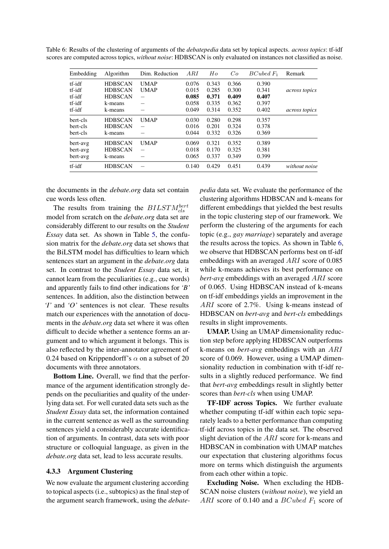<span id="page-6-0"></span>

| Table 6: Results of the clustering of arguments of the <i>debatepedia</i> data set by topical aspects. <i>across topics</i> : tf-idf |  |
|--------------------------------------------------------------------------------------------------------------------------------------|--|
| scores are computed across topics, without noise: HDBSCAN is only evaluated on instances not classified as noise.                    |  |

| Embedding | Algorithm      | Dim. Reduction           | ARI   | Ho    | Co    | $BCubed F_1$ | Remark               |
|-----------|----------------|--------------------------|-------|-------|-------|--------------|----------------------|
| tf-idf    | <b>HDBSCAN</b> | <b>UMAP</b>              | 0.076 | 0.343 | 0.366 | 0.390        |                      |
| tf-idf    | <b>HDBSCAN</b> | <b>UMAP</b>              | 0.015 | 0.285 | 0.300 | 0.341        | <i>across topics</i> |
| tf-idf    | <b>HDBSCAN</b> | $\overline{\phantom{0}}$ | 0.085 | 0.371 | 0.409 | 0.407        |                      |
| tf-idf    | k-means        | -                        | 0.058 | 0.335 | 0.362 | 0.397        |                      |
| tf-idf    | k-means        |                          | 0.049 | 0.314 | 0.352 | 0.402        | <i>across topics</i> |
| bert-cls  | <b>HDBSCAN</b> | <b>UMAP</b>              | 0.030 | 0.280 | 0.298 | 0.357        |                      |
| bert-cls  | <b>HDBSCAN</b> | $\overline{\phantom{0}}$ | 0.016 | 0.201 | 0.324 | 0.378        |                      |
| bert-cls  | k-means        |                          | 0.044 | 0.332 | 0.326 | 0.369        |                      |
| bert-avg  | <b>HDBSCAN</b> | <b>UMAP</b>              | 0.069 | 0.321 | 0.352 | 0.389        |                      |
| bert-avg  | <b>HDBSCAN</b> | $\overline{\phantom{a}}$ | 0.018 | 0.170 | 0.325 | 0.381        |                      |
| bert-avg  | k-means        |                          | 0.065 | 0.337 | 0.349 | 0.399        |                      |
| tf-idf    | <b>HDBSCAN</b> |                          | 0.140 | 0.429 | 0.451 | 0.439        | without noise        |

the documents in the *debate.org* data set contain cue words less often.

The results from training the  $BILSTM_{cls}^{bert}$ model from scratch on the *debate.org* data set are considerably different to our results on the *Student Essay* data set. As shown in Table [5,](#page-5-2) the confusion matrix for the *debate.org* data set shows that the BiLSTM model has difficulties to learn which sentences start an argument in the *debate.org* data set. In contrast to the *Student Essay* data set, it cannot learn from the peculiarities (e.g., cue words) and apparently fails to find other indications for *'B'* sentences. In addition, also the distinction between *'I'* and *'O'* sentences is not clear. These results match our experiences with the annotation of documents in the *debate.org* data set where it was often difficult to decide whether a sentence forms an argument and to which argument it belongs. This is also reflected by the inter-annotator agreement of 0.24 based on Krippendorff's  $\alpha$  on a subset of 20 documents with three annotators.

Bottom Line. Overall, we find that the performance of the argument identification strongly depends on the peculiarities and quality of the underlying data set. For well curated data sets such as the *Student Essay* data set, the information contained in the current sentence as well as the surrounding sentences yield a considerably accurate identification of arguments. In contrast, data sets with poor structure or colloquial language, as given in the *debate.org* data set, lead to less accurate results.

### 4.3.3 Argument Clustering

We now evaluate the argument clustering according to topical aspects (i.e., subtopics) as the final step of the argument search framework, using the *debate-* *pedia* data set. We evaluate the performance of the clustering algorithms HDBSCAN and k-means for different embeddings that yielded the best results in the topic clustering step of our framework. We perform the clustering of the arguments for each topic (e.g., *gay marriage*) separately and average the results across the topics. As shown in Table [6,](#page-6-0) we observe that HDBSCAN performs best on tf-idf embeddings with an averaged ARI score of 0.085 while k-means achieves its best performance on *bert-avg* embeddings with an averaged ARI score of 0.065. Using HDBSCAN instead of k-means on tf-idf embeddings yields an improvement in the ARI score of 2.7%. Using k-means instead of HDBSCAN on *bert-avg* and *bert-cls* embeddings results in slight improvements.

UMAP. Using an UMAP dimensionality reduction step before applying HDBSCAN outperforms k-means on *bert-avg* embeddings with an ARI score of 0.069. However, using a UMAP dimensionality reduction in combination with tf-idf results in a slightly reduced performance. We find that *bert-avg* embeddings result in slightly better scores than *bert-cls* when using UMAP.

TF-IDF across Topics. We further evaluate whether computing tf-idf within each topic separately leads to a better performance than computing tf-idf across topics in the data set. The observed slight deviation of the ARI score for k-means and HDBSCAN in combination with UMAP matches our expectation that clustering algorithms focus more on terms which distinguish the arguments from each other within a topic.

Excluding Noise. When excluding the HDB-SCAN noise clusters (*without noise*), we yield an ARI score of 0.140 and a  $BCubed$   $F_1$  score of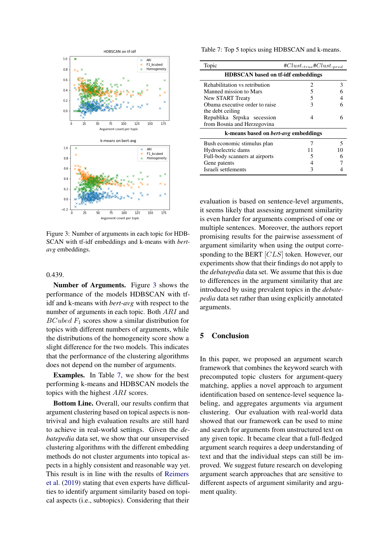<span id="page-7-1"></span>

Figure 3: Number of arguments in each topic for HDB-SCAN with tf-idf embeddings and k-means with *bertavg* embeddings.

#### 0.439.

Number of Arguments. Figure [3](#page-7-1) shows the performance of the models HDBSCAN with tfidf and k-means with *bert-avg* with respect to the number of arguments in each topic. Both ARI and  $BCubed F<sub>1</sub>$  scores show a similar distribution for topics with different numbers of arguments, while the distributions of the homogeneity score show a slight difference for the two models. This indicates that the performance of the clustering algorithms does not depend on the number of arguments.

Examples. In Table [7,](#page-7-2) we show for the best performing k-means and HDBSCAN models the topics with the highest ARI scores.

Bottom Line. Overall, our results confirm that argument clustering based on topical aspects is nontrivival and high evaluation results are still hard to achieve in real-world settings. Given the *debatepedia* data set, we show that our unsupervised clustering algorithms with the different embedding methods do not cluster arguments into topical aspects in a highly consistent and reasonable way yet. This result is in line with the results of [Reimers](#page-9-4) [et al.](#page-9-4) [\(2019\)](#page-9-4) stating that even experts have difficulties to identify argument similarity based on topical aspects (i.e., subtopics). Considering that their

<span id="page-7-2"></span>Table 7: Top 5 topics using HDBSCAN and k-means.

| Topic                                       | $#Clust._{true}$ # $Clust._{pred}$ |    |  |  |  |  |  |
|---------------------------------------------|------------------------------------|----|--|--|--|--|--|
| <b>HDBSCAN</b> based on tf-idf embeddings   |                                    |    |  |  |  |  |  |
| Rehabilitation vs retribution               | 2                                  | 3  |  |  |  |  |  |
| Manned mission to Mars                      | 5                                  |    |  |  |  |  |  |
| New START Treaty                            | 5                                  |    |  |  |  |  |  |
| Obama executive order to raise              | 3                                  | 6  |  |  |  |  |  |
| the debt ceiling                            |                                    |    |  |  |  |  |  |
| Republika Srpska secession                  | 4                                  | 6  |  |  |  |  |  |
| from Bosnia and Herzegovina                 |                                    |    |  |  |  |  |  |
| k-means based on <i>bert-avg</i> embeddings |                                    |    |  |  |  |  |  |
| Bush economic stimulus plan                 |                                    | 5  |  |  |  |  |  |
| Hydroelectric dams                          | 11                                 | 10 |  |  |  |  |  |
| Full-body scanners at airports              | 5                                  |    |  |  |  |  |  |
| Gene patents                                | 4                                  |    |  |  |  |  |  |
| Israeli settlements                         | 3                                  |    |  |  |  |  |  |

evaluation is based on sentence-level arguments, it seems likely that assessing argument similarity is even harder for arguments comprised of one or multiple sentences. Moreover, the authors report promising results for the pairwise assessment of argument similarity when using the output corresponding to the BERT [CLS] token. However, our experiments show that their findings do not apply to the *debatepedia* data set. We assume that this is due to differences in the argument similarity that are introduced by using prevalent topics in the *debatepedia* data set rather than using explicitly annotated arguments.

### <span id="page-7-0"></span>5 Conclusion

In this paper, we proposed an argument search framework that combines the keyword search with precomputed topic clusters for argument-query matching, applies a novel approach to argument identification based on sentence-level sequence labeling, and aggregates arguments via argument clustering. Our evaluation with real-world data showed that our framework can be used to mine and search for arguments from unstructured text on any given topic. It became clear that a full-fledged argument search requires a deep understanding of text and that the individual steps can still be improved. We suggest future research on developing argument search approaches that are sensitive to different aspects of argument similarity and argument quality.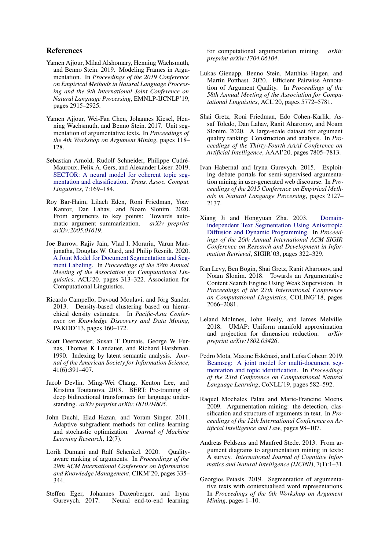### References

- <span id="page-8-11"></span>Yamen Ajjour, Milad Alshomary, Henning Wachsmuth, and Benno Stein. 2019. Modeling Frames in Argumentation. In *Proceedings of the 2019 Conference on Empirical Methods in Natural Language Processing and the 9th International Joint Conference on Natural Language Processing*, EMNLP-IJCNLP'19, pages 2915–2925.
- <span id="page-8-8"></span>Yamen Ajjour, Wei-Fan Chen, Johannes Kiesel, Henning Wachsmuth, and Benno Stein. 2017. Unit segmentation of argumentative texts. In *Proceedings of the 4th Workshop on Argument Mining*, pages 118– 128.
- <span id="page-8-6"></span>Sebastian Arnold, Rudolf Schneider, Philippe Cudré-Mauroux, Felix A. Gers, and Alexander Löser. 2019. [SECTOR: A neural model for coherent topic seg](https://transacl.org/ojs/index.php/tacl/article/view/1540)[mentation and classification.](https://transacl.org/ojs/index.php/tacl/article/view/1540) *Trans. Assoc. Comput. Linguistics*, 7:169–184.
- <span id="page-8-12"></span>Roy Bar-Haim, Lilach Eden, Roni Friedman, Yoav Kantor, Dan Lahav, and Noam Slonim. 2020. From arguments to key points: Towards automatic argument summarization. *arXiv preprint arXiv:2005.01619*.
- <span id="page-8-5"></span>Joe Barrow, Rajiv Jain, Vlad I. Morariu, Varun Manjunatha, Douglas W. Oard, and Philip Resnik. 2020. [A Joint Model for Document Segmentation and Seg](https://doi.org/10.18653/v1/2020.acl-main.29)[ment Labeling.](https://doi.org/10.18653/v1/2020.acl-main.29) In *Proceedings of the 58th Annual Meeting of the Association for Computational Linguistics*, ACL'20, pages 313–322. Association for Computational Linguistics.
- <span id="page-8-16"></span>Ricardo Campello, Davoud Moulavi, and Jörg Sander. 2013. Density-based clustering based on hierarchical density estimates. In *Pacific-Asia Conference on Knowledge Discovery and Data Mining*, PAKDD'13, pages 160–172.
- <span id="page-8-17"></span>Scott Deerwester, Susan T Dumais, George W Furnas, Thomas K Landauer, and Richard Harshman. 1990. Indexing by latent semantic analysis. *Journal of the American Society for Information Science*, 41(6):391–407.
- <span id="page-8-19"></span>Jacob Devlin, Ming-Wei Chang, Kenton Lee, and Kristina Toutanova. 2018. BERT: Pre-training of deep bidirectional transformers for language understanding. *arXiv preprint arXiv:1810.04805*.
- <span id="page-8-20"></span>John Duchi, Elad Hazan, and Yoram Singer. 2011. Adaptive subgradient methods for online learning and stochastic optimization. *Journal of Machine Learning Research*, 12(7).
- <span id="page-8-14"></span>Lorik Dumani and Ralf Schenkel. 2020. Qualityaware ranking of arguments. In *Proceedings of the 29th ACM International Conference on Information and Knowledge Management*, CIKM'20, pages 335– 344.
- <span id="page-8-9"></span>Steffen Eger, Johannes Daxenberger, and Iryna Gurevych. 2017. Neural end-to-end learning

for computational argumentation mining. *arXiv preprint arXiv:1704.06104*.

- <span id="page-8-13"></span>Lukas Gienapp, Benno Stein, Matthias Hagen, and Martin Potthast. 2020. Efficient Pairwise Annotation of Argument Quality. In *Proceedings of the 58th Annual Meeting of the Association for Computational Linguistics*, ACL'20, pages 5772–5781.
- <span id="page-8-15"></span>Shai Gretz, Roni Friedman, Edo Cohen-Karlik, Assaf Toledo, Dan Lahav, Ranit Aharonov, and Noam Slonim. 2020. A large-scale dataset for argument quality ranking: Construction and analysis. In *Proceedings of the Thirty-Fourth AAAI Conference on Artificial Intelligence*, AAAI'20, pages 7805–7813.
- <span id="page-8-1"></span>Ivan Habernal and Iryna Gurevych. 2015. Exploiting debate portals for semi-supervised argumentation mining in user-generated web discourse. In *Proceedings of the 2015 Conference on Empirical Methods in Natural Language Processing*, pages 2127– 2137.
- <span id="page-8-4"></span>Xiang Ji and Hongyuan Zha. 2003. [Domain](https://doi.org/10.1145/860435.860494)[independent Text Segmentation Using Anisotropic](https://doi.org/10.1145/860435.860494) [Diffusion and Dynamic Programming.](https://doi.org/10.1145/860435.860494) In *Proceedings of the 26th Annual International ACM SIGIR Conference on Research and Development in Information Retrieval*, SIGIR'03, pages 322–329.
- <span id="page-8-3"></span>Ran Levy, Ben Bogin, Shai Gretz, Ranit Aharonov, and Noam Slonim. 2018. Towards an Argumentative Content Search Engine Using Weak Supervision. In *Proceedings of the 27th International Conference on Computational Linguistics*, COLING'18, pages 2066–2081.
- <span id="page-8-18"></span>Leland McInnes, John Healy, and James Melville. 2018. UMAP: Uniform manifold approximation and projection for dimension reduction. *arXiv preprint arXiv:1802.03426*.
- <span id="page-8-7"></span>Pedro Mota, Maxine Eskénazi, and Luísa Coheur. 2019. [Beamseg: A joint model for multi-document seg](https://doi.org/10.18653/v1/K19-1054)[mentation and topic identification.](https://doi.org/10.18653/v1/K19-1054) In *Proceedings of the 23rd Conference on Computational Natural Language Learning*, CoNLL'19, pages 582–592.
- <span id="page-8-0"></span>Raquel Mochales Palau and Marie-Francine Moens. 2009. Argumentation mining: the detection, classification and structure of arguments in text. In *Proceedings of the 12th International Conference on Artificial Intelligence and Law*, pages 98–107.
- <span id="page-8-2"></span>Andreas Peldszus and Manfred Stede. 2013. From argument diagrams to argumentation mining in texts: A survey. *International Journal of Cognitive Informatics and Natural Intelligence (IJCINI)*, 7(1):1–31.
- <span id="page-8-10"></span>Georgios Petasis. 2019. Segmentation of argumentative texts with contextualised word representations. In *Proceedings of the 6th Workshop on Argument Mining*, pages 1–10.